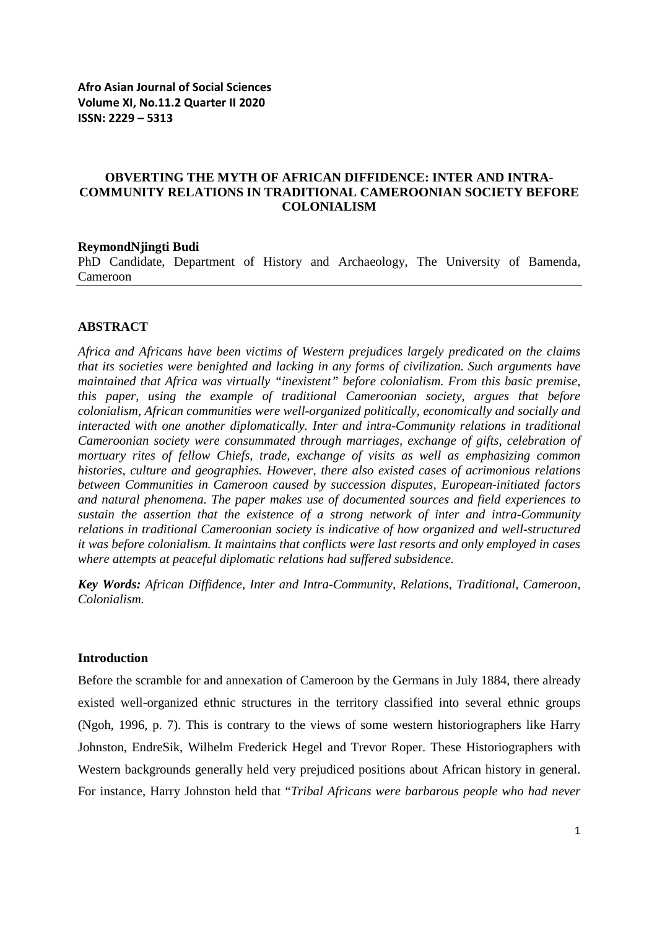### **OBVERTING THE MYTH OF AFRICAN DIFFIDENCE: INTER AND INTRA-COMMUNITY RELATIONS IN TRADITIONAL CAMEROONIAN SOCIETY BEFORE COLONIALISM**

#### **ReymondNjingti Budi**

PhD Candidate, Department of History and Archaeology, The University of Bamenda, Cameroon

### **ABSTRACT**

*Africa and Africans have been victims of Western prejudices largely predicated on the claims that its societies were benighted and lacking in any forms of civilization. Such arguments have maintained that Africa was virtually "inexistent" before colonialism. From this basic premise, this paper, using the example of traditional Cameroonian society, argues that before colonialism, African communities were well-organized politically, economically and socially and interacted with one another diplomatically. Inter and intra-Community relations in traditional Cameroonian society were consummated through marriages, exchange of gifts, celebration of mortuary rites of fellow Chiefs, trade, exchange of visits as well as emphasizing common histories, culture and geographies. However, there also existed cases of acrimonious relations between Communities in Cameroon caused by succession disputes, European-initiated factors and natural phenomena. The paper makes use of documented sources and field experiences to sustain the assertion that the existence of a strong network of inter and intra-Community relations in traditional Cameroonian society is indicative of how organized and well-structured it was before colonialism. It maintains that conflicts were last resorts and only employed in cases where attempts at peaceful diplomatic relations had suffered subsidence.* 

*Key Words: African Diffidence, Inter and Intra-Community, Relations, Traditional, Cameroon, Colonialism.*

### **Introduction**

Before the scramble for and annexation of Cameroon by the Germans in July 1884, there already existed well-organized ethnic structures in the territory classified into several ethnic groups (Ngoh, 1996, p. 7). This is contrary to the views of some western historiographers like Harry Johnston, EndreSik, Wilhelm Frederick Hegel and Trevor Roper. These Historiographers with Western backgrounds generally held very prejudiced positions about African history in general. For instance, Harry Johnston held that "*Tribal Africans were barbarous people who had never*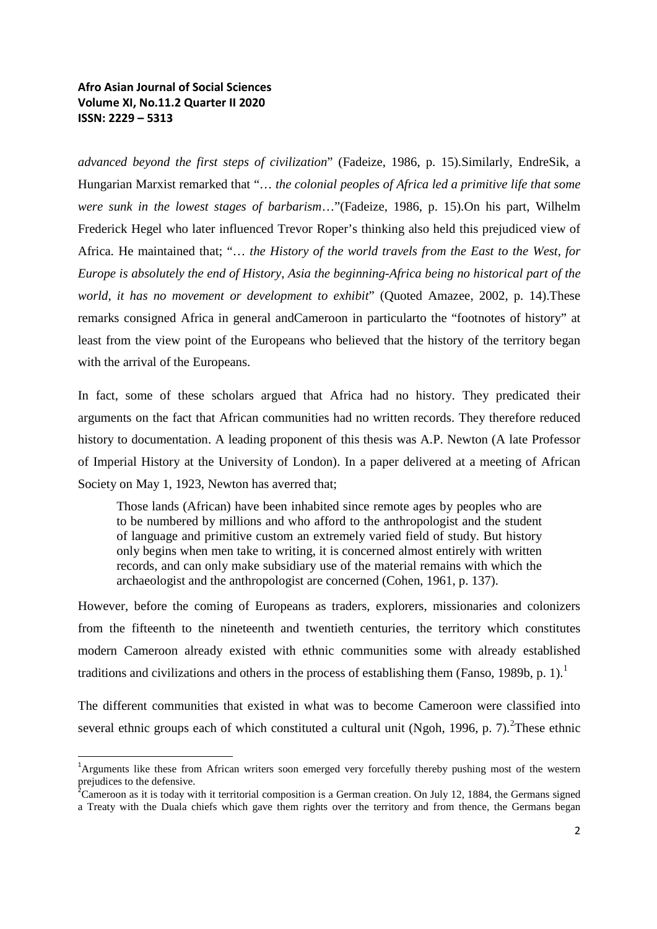*advanced beyond the first steps of civilization*" (Fadeize, 1986, p. 15).Similarly, EndreSik, a Hungarian Marxist remarked that "… *the colonial peoples of Africa led a primitive life that some were sunk in the lowest stages of barbarism*…"(Fadeize, 1986, p. 15).On his part, Wilhelm Frederick Hegel who later influenced Trevor Roper's thinking also held this prejudiced view of Africa. He maintained that; "… *the History of the world travels from the East to the West, for Europe is absolutely the end of History, Asia the beginning-Africa being no historical part of the world, it has no movement or development to exhibit*" (Quoted Amazee, 2002, p. 14).These remarks consigned Africa in general andCameroon in particularto the "footnotes of history" at least from the view point of the Europeans who believed that the history of the territory began with the arrival of the Europeans.

In fact, some of these scholars argued that Africa had no history. They predicated their arguments on the fact that African communities had no written records. They therefore reduced history to documentation. A leading proponent of this thesis was A.P. Newton (A late Professor of Imperial History at the University of London). In a paper delivered at a meeting of African Society on May 1, 1923, Newton has averred that;

Those lands (African) have been inhabited since remote ages by peoples who are to be numbered by millions and who afford to the anthropologist and the student of language and primitive custom an extremely varied field of study. But history only begins when men take to writing, it is concerned almost entirely with written records, and can only make subsidiary use of the material remains with which the archaeologist and the anthropologist are concerned (Cohen, 1961, p. 137).

However, before the coming of Europeans as traders, explorers, missionaries and colonizers from the fifteenth to the nineteenth and twentieth centuries, the territory which constitutes modern Cameroon already existed with ethnic communities some with already established traditions and civilizations and others in the process of establishing them (Fanso, 1989b, p. 1).<sup>1</sup>

The different communities that existed in what was to become Cameroon were classified into several ethnic groups each of which constituted a cultural unit (Ngoh, 1996, p. 7). These ethnic

 $\frac{1}{1}$ <sup>1</sup>Arguments like these from African writers soon emerged very forcefully thereby pushing most of the western prejudices to the defensive.

 ${}^{2}$ Cameroon as it is today with it territorial composition is a German creation. On July 12, 1884, the Germans signed a Treaty with the Duala chiefs which gave them rights over the territory and from thence, the Germans began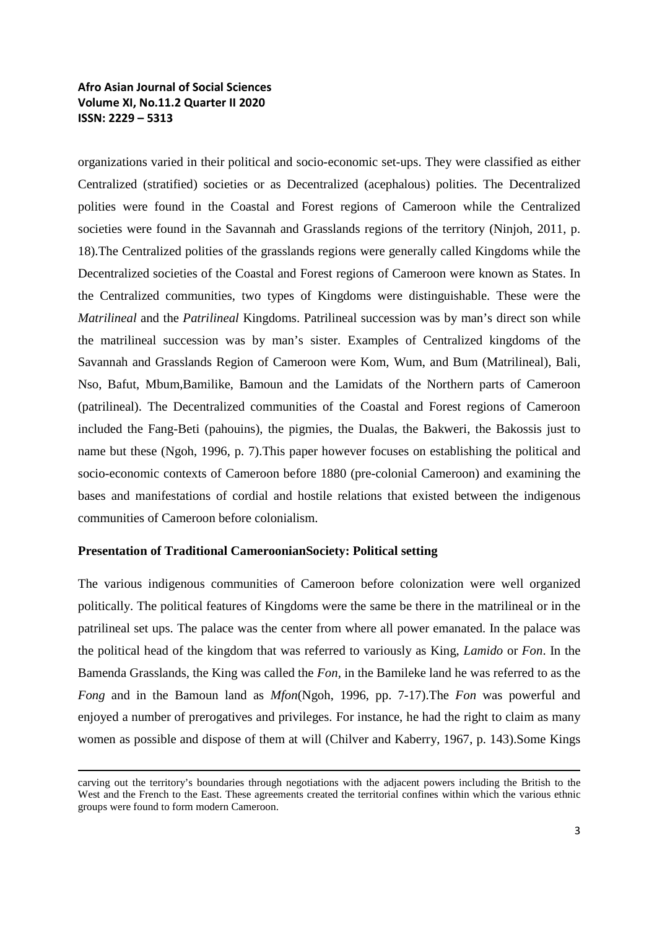organizations varied in their political and socio-economic set-ups. They were classified as either Centralized (stratified) societies or as Decentralized (acephalous) polities. The Decentralized polities were found in the Coastal and Forest regions of Cameroon while the Centralized societies were found in the Savannah and Grasslands regions of the territory (Ninjoh, 2011, p. 18).The Centralized polities of the grasslands regions were generally called Kingdoms while the Decentralized societies of the Coastal and Forest regions of Cameroon were known as States. In the Centralized communities, two types of Kingdoms were distinguishable. These were the *Matrilineal* and the *Patrilineal* Kingdoms. Patrilineal succession was by man's direct son while the matrilineal succession was by man's sister. Examples of Centralized kingdoms of the Savannah and Grasslands Region of Cameroon were Kom, Wum, and Bum (Matrilineal), Bali, Nso, Bafut, Mbum,Bamilike, Bamoun and the Lamidats of the Northern parts of Cameroon (patrilineal). The Decentralized communities of the Coastal and Forest regions of Cameroon included the Fang-Beti (pahouins), the pigmies, the Dualas, the Bakweri, the Bakossis just to name but these (Ngoh, 1996, p. 7).This paper however focuses on establishing the political and socio-economic contexts of Cameroon before 1880 (pre-colonial Cameroon) and examining the bases and manifestations of cordial and hostile relations that existed between the indigenous communities of Cameroon before colonialism.

### **Presentation of Traditional CameroonianSociety: Political setting**

 $\overline{a}$ 

The various indigenous communities of Cameroon before colonization were well organized politically. The political features of Kingdoms were the same be there in the matrilineal or in the patrilineal set ups. The palace was the center from where all power emanated. In the palace was the political head of the kingdom that was referred to variously as King, *Lamido* or *Fon*. In the Bamenda Grasslands, the King was called the *Fon,* in the Bamileke land he was referred to as the *Fong* and in the Bamoun land as *Mfon*(Ngoh, 1996, pp. 7-17).The *Fon* was powerful and enjoyed a number of prerogatives and privileges. For instance, he had the right to claim as many women as possible and dispose of them at will (Chilver and Kaberry, 1967, p. 143).Some Kings

carving out the territory's boundaries through negotiations with the adjacent powers including the British to the West and the French to the East. These agreements created the territorial confines within which the various ethnic groups were found to form modern Cameroon.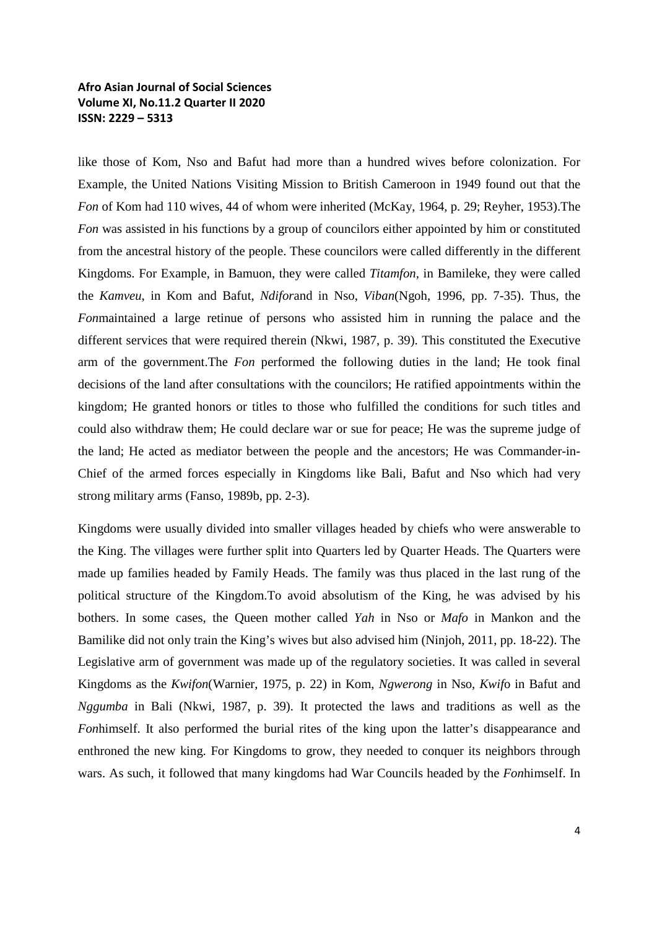like those of Kom, Nso and Bafut had more than a hundred wives before colonization. For Example, the United Nations Visiting Mission to British Cameroon in 1949 found out that the *Fon* of Kom had 110 wives, 44 of whom were inherited (McKay, 1964, p. 29; Reyher, 1953).The *Fon* was assisted in his functions by a group of councilors either appointed by him or constituted from the ancestral history of the people. These councilors were called differently in the different Kingdoms. For Example, in Bamuon, they were called *Titamfon,* in Bamileke, they were called the *Kamveu*, in Kom and Bafut, *Ndifor*and in Nso, *Viban*(Ngoh, 1996, pp. 7-35). Thus, the *Fon*maintained a large retinue of persons who assisted him in running the palace and the different services that were required therein (Nkwi, 1987, p. 39). This constituted the Executive arm of the government.The *Fon* performed the following duties in the land; He took final decisions of the land after consultations with the councilors; He ratified appointments within the kingdom; He granted honors or titles to those who fulfilled the conditions for such titles and could also withdraw them; He could declare war or sue for peace; He was the supreme judge of the land; He acted as mediator between the people and the ancestors; He was Commander-in-Chief of the armed forces especially in Kingdoms like Bali, Bafut and Nso which had very strong military arms (Fanso, 1989b, pp. 2-3).

Kingdoms were usually divided into smaller villages headed by chiefs who were answerable to the King. The villages were further split into Quarters led by Quarter Heads. The Quarters were made up families headed by Family Heads. The family was thus placed in the last rung of the political structure of the Kingdom.To avoid absolutism of the King, he was advised by his bothers. In some cases, the Queen mother called *Yah* in Nso or *Mafo* in Mankon and the Bamilike did not only train the King's wives but also advised him (Ninjoh, 2011, pp. 18-22). The Legislative arm of government was made up of the regulatory societies. It was called in several Kingdoms as the *Kwifon*(Warnier, 1975, p. 22) in Kom, *Ngwerong* in Nso, *Kwif*o in Bafut and *Nggumba* in Bali (Nkwi, 1987, p. 39). It protected the laws and traditions as well as the *Fon*himself. It also performed the burial rites of the king upon the latter's disappearance and enthroned the new king. For Kingdoms to grow, they needed to conquer its neighbors through wars. As such, it followed that many kingdoms had War Councils headed by the *Fon*himself. In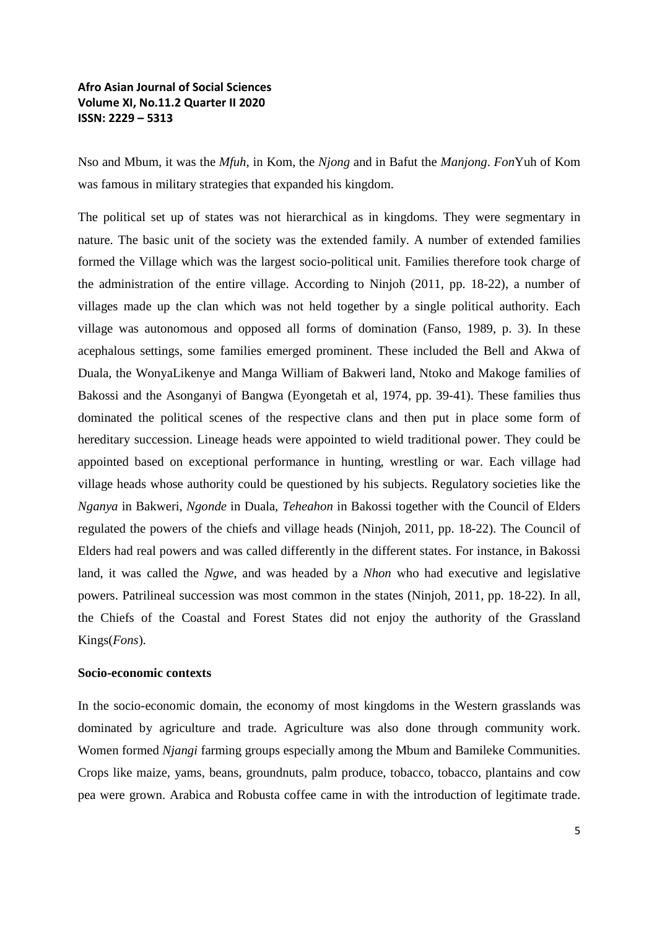Nso and Mbum, it was the *Mfuh*, in Kom, the *Njong* and in Bafut the *Manjong*. *Fon*Yuh of Kom was famous in military strategies that expanded his kingdom.

The political set up of states was not hierarchical as in kingdoms. They were segmentary in nature. The basic unit of the society was the extended family. A number of extended families formed the Village which was the largest socio-political unit. Families therefore took charge of the administration of the entire village. According to Ninjoh (2011, pp. 18-22), a number of villages made up the clan which was not held together by a single political authority. Each village was autonomous and opposed all forms of domination (Fanso, 1989, p. 3). In these acephalous settings, some families emerged prominent. These included the Bell and Akwa of Duala, the WonyaLikenye and Manga William of Bakweri land, Ntoko and Makoge families of Bakossi and the Asonganyi of Bangwa (Eyongetah et al, 1974, pp. 39-41). These families thus dominated the political scenes of the respective clans and then put in place some form of hereditary succession. Lineage heads were appointed to wield traditional power. They could be appointed based on exceptional performance in hunting, wrestling or war. Each village had village heads whose authority could be questioned by his subjects. Regulatory societies like the *Nganya* in Bakweri, *Ngonde* in Duala, *Teheahon* in Bakossi together with the Council of Elders regulated the powers of the chiefs and village heads (Ninjoh, 2011, pp. 18-22). The Council of Elders had real powers and was called differently in the different states. For instance, in Bakossi land, it was called the *Ngwe*, and was headed by a *Nhon* who had executive and legislative powers. Patrilineal succession was most common in the states (Ninjoh, 2011, pp. 18-22). In all, the Chiefs of the Coastal and Forest States did not enjoy the authority of the Grassland Kings(*Fons*)*.* 

### **Socio-economic contexts**

In the socio-economic domain, the economy of most kingdoms in the Western grasslands was dominated by agriculture and trade. Agriculture was also done through community work. Women formed *Njangi* farming groups especially among the Mbum and Bamileke Communities. Crops like maize, yams, beans, groundnuts, palm produce, tobacco, tobacco, plantains and cow pea were grown. Arabica and Robusta coffee came in with the introduction of legitimate trade.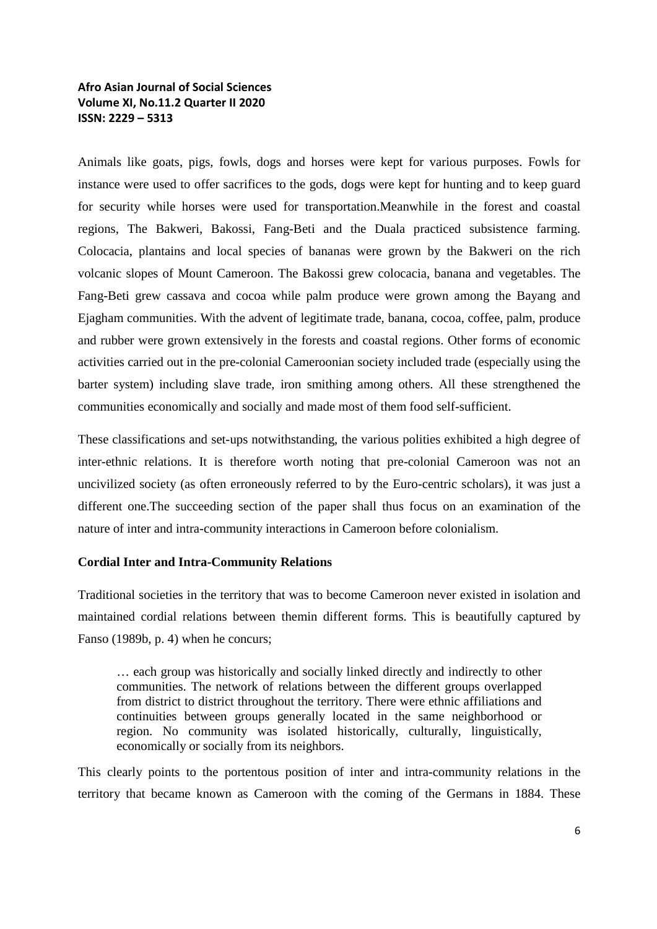Animals like goats, pigs, fowls, dogs and horses were kept for various purposes. Fowls for instance were used to offer sacrifices to the gods, dogs were kept for hunting and to keep guard for security while horses were used for transportation.Meanwhile in the forest and coastal regions, The Bakweri, Bakossi, Fang-Beti and the Duala practiced subsistence farming. Colocacia, plantains and local species of bananas were grown by the Bakweri on the rich volcanic slopes of Mount Cameroon. The Bakossi grew colocacia, banana and vegetables. The Fang-Beti grew cassava and cocoa while palm produce were grown among the Bayang and Ejagham communities. With the advent of legitimate trade, banana, cocoa, coffee, palm, produce and rubber were grown extensively in the forests and coastal regions. Other forms of economic activities carried out in the pre-colonial Cameroonian society included trade (especially using the barter system) including slave trade, iron smithing among others. All these strengthened the communities economically and socially and made most of them food self-sufficient.

These classifications and set-ups notwithstanding, the various polities exhibited a high degree of inter-ethnic relations. It is therefore worth noting that pre-colonial Cameroon was not an uncivilized society (as often erroneously referred to by the Euro-centric scholars), it was just a different one.The succeeding section of the paper shall thus focus on an examination of the nature of inter and intra-community interactions in Cameroon before colonialism.

### **Cordial Inter and Intra-Community Relations**

Traditional societies in the territory that was to become Cameroon never existed in isolation and maintained cordial relations between themin different forms. This is beautifully captured by Fanso (1989b, p. 4) when he concurs;

… each group was historically and socially linked directly and indirectly to other communities. The network of relations between the different groups overlapped from district to district throughout the territory. There were ethnic affiliations and continuities between groups generally located in the same neighborhood or region. No community was isolated historically, culturally, linguistically, economically or socially from its neighbors.

This clearly points to the portentous position of inter and intra-community relations in the territory that became known as Cameroon with the coming of the Germans in 1884. These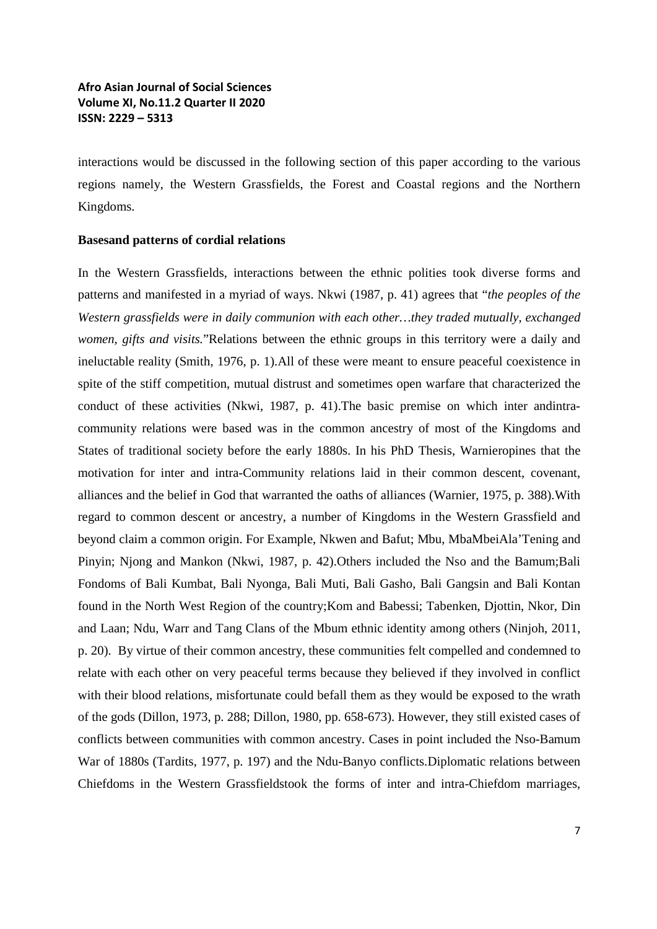interactions would be discussed in the following section of this paper according to the various regions namely, the Western Grassfields, the Forest and Coastal regions and the Northern Kingdoms.

#### **Basesand patterns of cordial relations**

In the Western Grassfields, interactions between the ethnic polities took diverse forms and patterns and manifested in a myriad of ways. Nkwi (1987, p. 41) agrees that "*the peoples of the Western grassfields were in daily communion with each other…they traded mutually, exchanged women, gifts and visits.*"Relations between the ethnic groups in this territory were a daily and ineluctable reality (Smith, 1976, p. 1).All of these were meant to ensure peaceful coexistence in spite of the stiff competition, mutual distrust and sometimes open warfare that characterized the conduct of these activities (Nkwi, 1987, p. 41).The basic premise on which inter andintracommunity relations were based was in the common ancestry of most of the Kingdoms and States of traditional society before the early 1880s. In his PhD Thesis, Warnieropines that the motivation for inter and intra-Community relations laid in their common descent, covenant, alliances and the belief in God that warranted the oaths of alliances (Warnier, 1975, p. 388).With regard to common descent or ancestry, a number of Kingdoms in the Western Grassfield and beyond claim a common origin. For Example, Nkwen and Bafut; Mbu, MbaMbeiAla'Tening and Pinyin; Njong and Mankon (Nkwi, 1987, p. 42).Others included the Nso and the Bamum;Bali Fondoms of Bali Kumbat, Bali Nyonga, Bali Muti, Bali Gasho, Bali Gangsin and Bali Kontan found in the North West Region of the country;Kom and Babessi; Tabenken, Djottin, Nkor, Din and Laan; Ndu, Warr and Tang Clans of the Mbum ethnic identity among others (Ninjoh, 2011, p. 20). By virtue of their common ancestry, these communities felt compelled and condemned to relate with each other on very peaceful terms because they believed if they involved in conflict with their blood relations, misfortunate could befall them as they would be exposed to the wrath of the gods (Dillon, 1973, p. 288; Dillon, 1980, pp. 658-673). However, they still existed cases of conflicts between communities with common ancestry. Cases in point included the Nso-Bamum War of 1880s (Tardits, 1977, p. 197) and the Ndu-Banyo conflicts.Diplomatic relations between Chiefdoms in the Western Grassfieldstook the forms of inter and intra-Chiefdom marriages,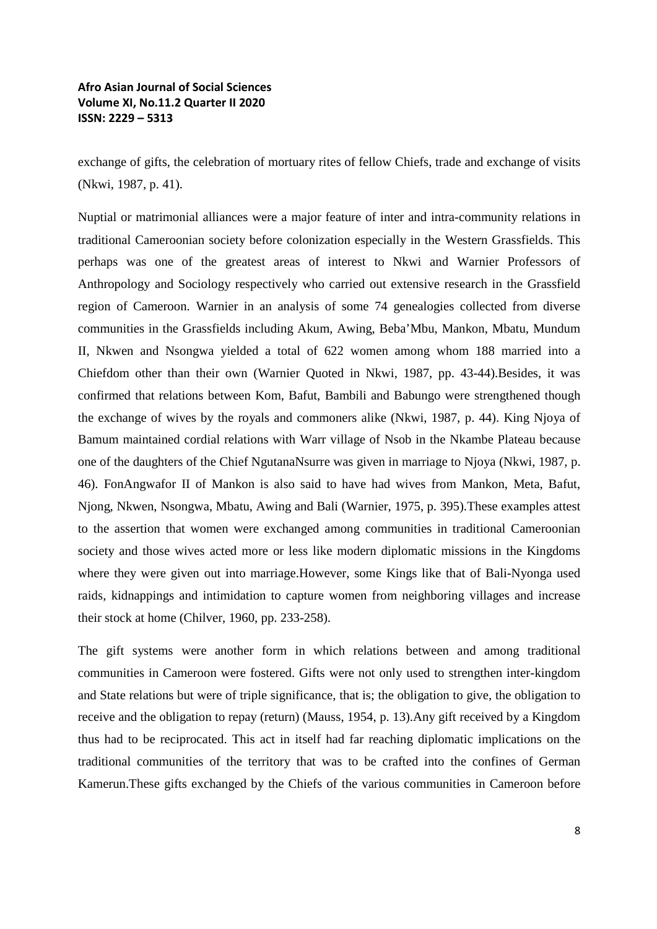exchange of gifts, the celebration of mortuary rites of fellow Chiefs, trade and exchange of visits (Nkwi, 1987, p. 41).

Nuptial or matrimonial alliances were a major feature of inter and intra-community relations in traditional Cameroonian society before colonization especially in the Western Grassfields. This perhaps was one of the greatest areas of interest to Nkwi and Warnier Professors of Anthropology and Sociology respectively who carried out extensive research in the Grassfield region of Cameroon. Warnier in an analysis of some 74 genealogies collected from diverse communities in the Grassfields including Akum, Awing, Beba'Mbu, Mankon, Mbatu, Mundum II, Nkwen and Nsongwa yielded a total of 622 women among whom 188 married into a Chiefdom other than their own (Warnier Quoted in Nkwi, 1987, pp. 43-44).Besides, it was confirmed that relations between Kom, Bafut, Bambili and Babungo were strengthened though the exchange of wives by the royals and commoners alike (Nkwi, 1987, p. 44). King Njoya of Bamum maintained cordial relations with Warr village of Nsob in the Nkambe Plateau because one of the daughters of the Chief NgutanaNsurre was given in marriage to Njoya (Nkwi, 1987, p. 46). FonAngwafor II of Mankon is also said to have had wives from Mankon, Meta, Bafut, Njong, Nkwen, Nsongwa, Mbatu, Awing and Bali (Warnier, 1975, p. 395).These examples attest to the assertion that women were exchanged among communities in traditional Cameroonian society and those wives acted more or less like modern diplomatic missions in the Kingdoms where they were given out into marriage.However, some Kings like that of Bali-Nyonga used raids, kidnappings and intimidation to capture women from neighboring villages and increase their stock at home (Chilver, 1960, pp. 233-258).

The gift systems were another form in which relations between and among traditional communities in Cameroon were fostered. Gifts were not only used to strengthen inter-kingdom and State relations but were of triple significance, that is; the obligation to give, the obligation to receive and the obligation to repay (return) (Mauss, 1954, p. 13).Any gift received by a Kingdom thus had to be reciprocated. This act in itself had far reaching diplomatic implications on the traditional communities of the territory that was to be crafted into the confines of German Kamerun.These gifts exchanged by the Chiefs of the various communities in Cameroon before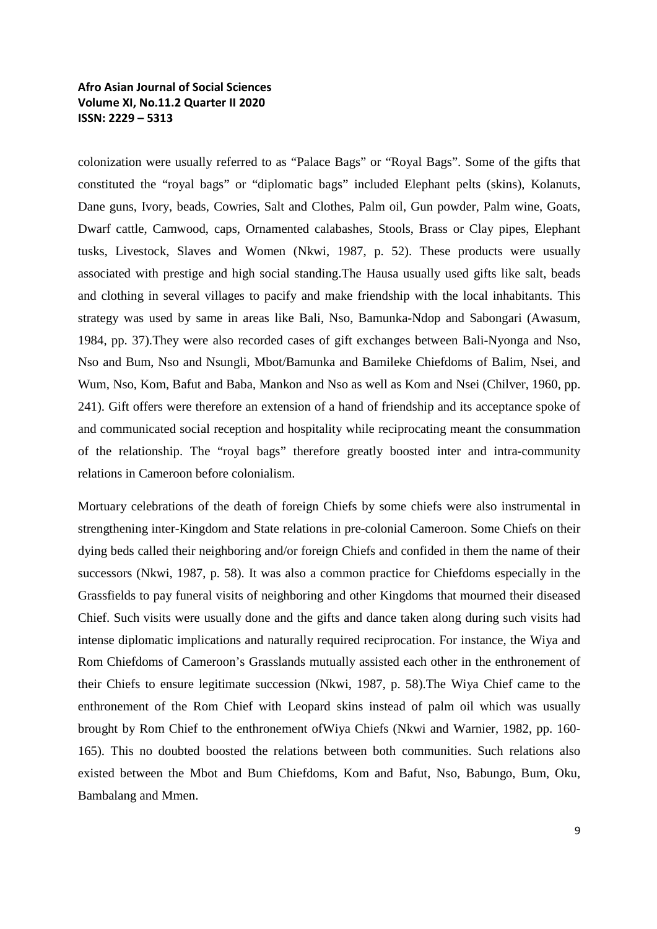colonization were usually referred to as "Palace Bags" or "Royal Bags". Some of the gifts that constituted the "royal bags" or "diplomatic bags" included Elephant pelts (skins), Kolanuts, Dane guns, Ivory, beads, Cowries, Salt and Clothes, Palm oil, Gun powder, Palm wine, Goats, Dwarf cattle, Camwood, caps, Ornamented calabashes, Stools, Brass or Clay pipes, Elephant tusks, Livestock, Slaves and Women (Nkwi, 1987, p. 52). These products were usually associated with prestige and high social standing.The Hausa usually used gifts like salt, beads and clothing in several villages to pacify and make friendship with the local inhabitants. This strategy was used by same in areas like Bali, Nso, Bamunka-Ndop and Sabongari (Awasum, 1984, pp. 37).They were also recorded cases of gift exchanges between Bali-Nyonga and Nso, Nso and Bum, Nso and Nsungli, Mbot/Bamunka and Bamileke Chiefdoms of Balim, Nsei, and Wum, Nso, Kom, Bafut and Baba, Mankon and Nso as well as Kom and Nsei (Chilver, 1960, pp. 241). Gift offers were therefore an extension of a hand of friendship and its acceptance spoke of and communicated social reception and hospitality while reciprocating meant the consummation of the relationship. The "royal bags" therefore greatly boosted inter and intra-community relations in Cameroon before colonialism.

Mortuary celebrations of the death of foreign Chiefs by some chiefs were also instrumental in strengthening inter-Kingdom and State relations in pre-colonial Cameroon. Some Chiefs on their dying beds called their neighboring and/or foreign Chiefs and confided in them the name of their successors (Nkwi, 1987, p. 58). It was also a common practice for Chiefdoms especially in the Grassfields to pay funeral visits of neighboring and other Kingdoms that mourned their diseased Chief. Such visits were usually done and the gifts and dance taken along during such visits had intense diplomatic implications and naturally required reciprocation. For instance, the Wiya and Rom Chiefdoms of Cameroon's Grasslands mutually assisted each other in the enthronement of their Chiefs to ensure legitimate succession (Nkwi, 1987, p. 58).The Wiya Chief came to the enthronement of the Rom Chief with Leopard skins instead of palm oil which was usually brought by Rom Chief to the enthronement ofWiya Chiefs (Nkwi and Warnier, 1982, pp. 160- 165). This no doubted boosted the relations between both communities. Such relations also existed between the Mbot and Bum Chiefdoms, Kom and Bafut, Nso, Babungo, Bum, Oku, Bambalang and Mmen.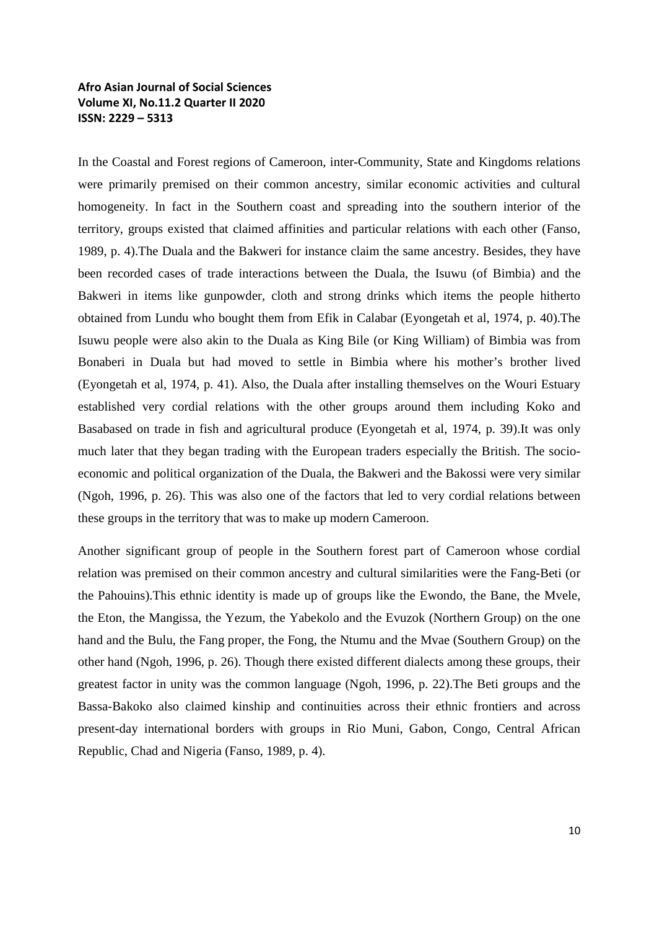In the Coastal and Forest regions of Cameroon, inter-Community, State and Kingdoms relations were primarily premised on their common ancestry, similar economic activities and cultural homogeneity. In fact in the Southern coast and spreading into the southern interior of the territory, groups existed that claimed affinities and particular relations with each other (Fanso, 1989, p. 4).The Duala and the Bakweri for instance claim the same ancestry. Besides, they have been recorded cases of trade interactions between the Duala, the Isuwu (of Bimbia) and the Bakweri in items like gunpowder, cloth and strong drinks which items the people hitherto obtained from Lundu who bought them from Efik in Calabar (Eyongetah et al, 1974, p. 40).The Isuwu people were also akin to the Duala as King Bile (or King William) of Bimbia was from Bonaberi in Duala but had moved to settle in Bimbia where his mother's brother lived (Eyongetah et al, 1974, p. 41). Also, the Duala after installing themselves on the Wouri Estuary established very cordial relations with the other groups around them including Koko and Basabased on trade in fish and agricultural produce (Eyongetah et al, 1974, p. 39).It was only much later that they began trading with the European traders especially the British. The socioeconomic and political organization of the Duala, the Bakweri and the Bakossi were very similar (Ngoh, 1996, p. 26). This was also one of the factors that led to very cordial relations between these groups in the territory that was to make up modern Cameroon.

Another significant group of people in the Southern forest part of Cameroon whose cordial relation was premised on their common ancestry and cultural similarities were the Fang-Beti (or the Pahouins).This ethnic identity is made up of groups like the Ewondo, the Bane, the Mvele, the Eton, the Mangissa, the Yezum, the Yabekolo and the Evuzok (Northern Group) on the one hand and the Bulu, the Fang proper, the Fong, the Ntumu and the Mvae (Southern Group) on the other hand (Ngoh, 1996, p. 26). Though there existed different dialects among these groups, their greatest factor in unity was the common language (Ngoh, 1996, p. 22).The Beti groups and the Bassa-Bakoko also claimed kinship and continuities across their ethnic frontiers and across present-day international borders with groups in Rio Muni, Gabon, Congo, Central African Republic, Chad and Nigeria (Fanso, 1989, p. 4).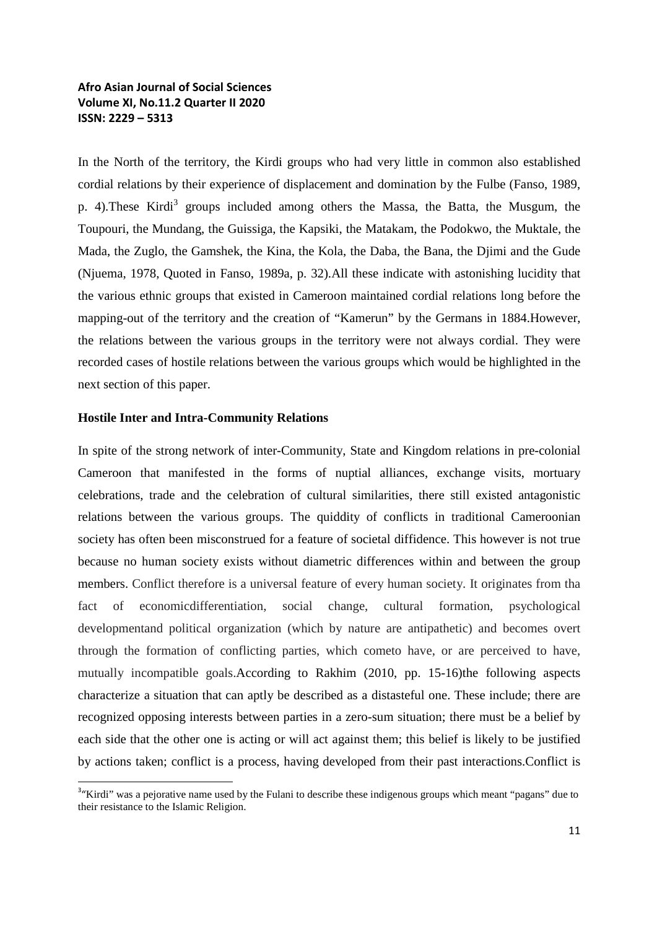In the North of the territory, the Kirdi groups who had very little in common also established cordial relations by their experience of displacement and domination by the Fulbe (Fanso, 1989, p. 4). These Kirdi<sup>3</sup> groups included among others the Massa, the Batta, the Musgum, the Toupouri, the Mundang, the Guissiga, the Kapsiki, the Matakam, the Podokwo, the Muktale, the Mada, the Zuglo, the Gamshek, the Kina, the Kola, the Daba, the Bana, the Djimi and the Gude (Njuema, 1978, Quoted in Fanso, 1989a, p. 32).All these indicate with astonishing lucidity that the various ethnic groups that existed in Cameroon maintained cordial relations long before the mapping-out of the territory and the creation of "Kamerun" by the Germans in 1884.However, the relations between the various groups in the territory were not always cordial. They were recorded cases of hostile relations between the various groups which would be highlighted in the next section of this paper.

### **Hostile Inter and Intra-Community Relations**

In spite of the strong network of inter-Community, State and Kingdom relations in pre-colonial Cameroon that manifested in the forms of nuptial alliances, exchange visits, mortuary celebrations, trade and the celebration of cultural similarities, there still existed antagonistic relations between the various groups. The quiddity of conflicts in traditional Cameroonian society has often been misconstrued for a feature of societal diffidence. This however is not true because no human society exists without diametric differences within and between the group members. Conflict therefore is a universal feature of every human society. It originates from tha fact of economicdifferentiation, social change, cultural formation, psychological developmentand political organization (which by nature are antipathetic) and becomes overt through the formation of conflicting parties, which cometo have, or are perceived to have, mutually incompatible goals.According to Rakhim (2010, pp. 15-16)the following aspects characterize a situation that can aptly be described as a distasteful one. These include; there are recognized opposing interests between parties in a zero-sum situation; there must be a belief by each side that the other one is acting or will act against them; this belief is likely to be justified by actions taken; conflict is a process, having developed from their past interactions.Conflict is

<sup>-&</sup>lt;br>3 <sup>3</sup>"Kirdi" was a pejorative name used by the Fulani to describe these indigenous groups which meant "pagans" due to their resistance to the Islamic Religion.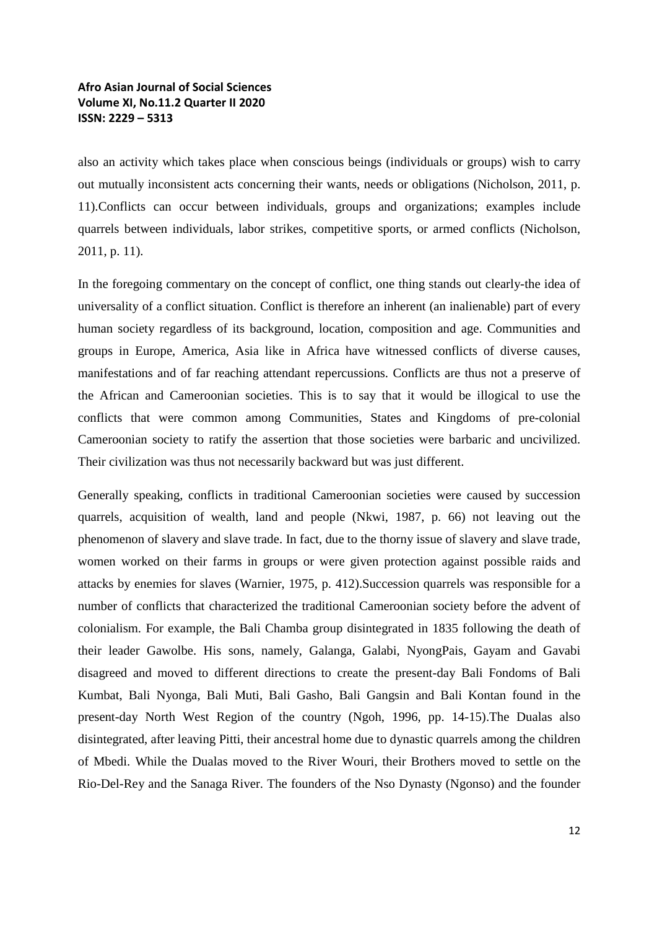also an activity which takes place when conscious beings (individuals or groups) wish to carry out mutually inconsistent acts concerning their wants, needs or obligations (Nicholson, 2011, p. 11).Conflicts can occur between individuals, groups and organizations; examples include quarrels between individuals, labor strikes, competitive sports, or armed conflicts (Nicholson, 2011, p. 11).

In the foregoing commentary on the concept of conflict, one thing stands out clearly-the idea of universality of a conflict situation. Conflict is therefore an inherent (an inalienable) part of every human society regardless of its background, location, composition and age. Communities and groups in Europe, America, Asia like in Africa have witnessed conflicts of diverse causes, manifestations and of far reaching attendant repercussions. Conflicts are thus not a preserve of the African and Cameroonian societies. This is to say that it would be illogical to use the conflicts that were common among Communities, States and Kingdoms of pre-colonial Cameroonian society to ratify the assertion that those societies were barbaric and uncivilized. Their civilization was thus not necessarily backward but was just different.

Generally speaking, conflicts in traditional Cameroonian societies were caused by succession quarrels, acquisition of wealth, land and people (Nkwi, 1987, p. 66) not leaving out the phenomenon of slavery and slave trade. In fact, due to the thorny issue of slavery and slave trade, women worked on their farms in groups or were given protection against possible raids and attacks by enemies for slaves (Warnier, 1975, p. 412).Succession quarrels was responsible for a number of conflicts that characterized the traditional Cameroonian society before the advent of colonialism. For example, the Bali Chamba group disintegrated in 1835 following the death of their leader Gawolbe. His sons, namely, Galanga, Galabi, NyongPais, Gayam and Gavabi disagreed and moved to different directions to create the present-day Bali Fondoms of Bali Kumbat, Bali Nyonga, Bali Muti, Bali Gasho, Bali Gangsin and Bali Kontan found in the present-day North West Region of the country (Ngoh, 1996, pp. 14-15).The Dualas also disintegrated, after leaving Pitti, their ancestral home due to dynastic quarrels among the children of Mbedi. While the Dualas moved to the River Wouri, their Brothers moved to settle on the Rio-Del-Rey and the Sanaga River. The founders of the Nso Dynasty (Ngonso) and the founder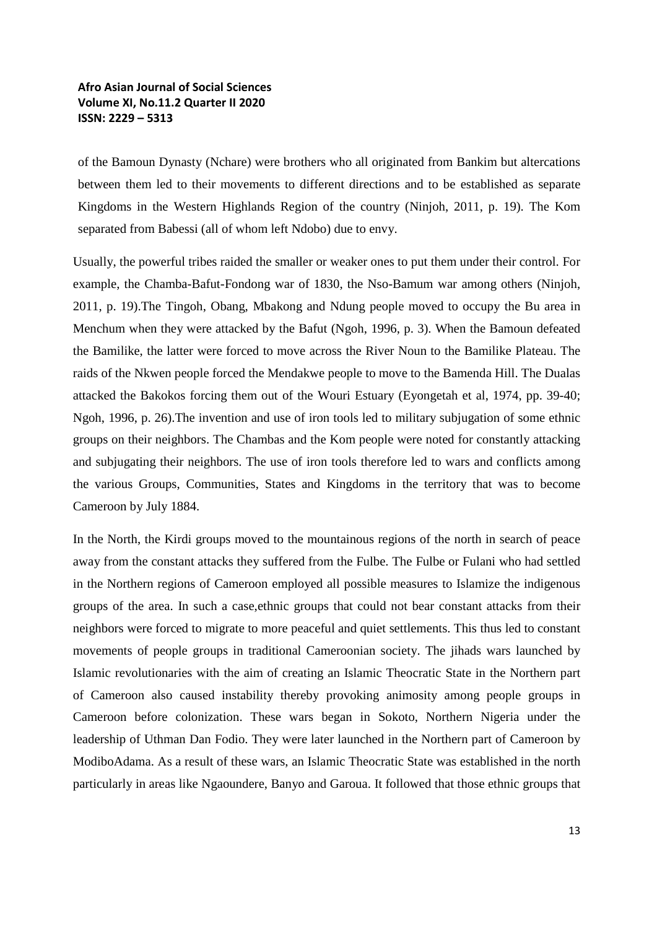of the Bamoun Dynasty (Nchare) were brothers who all originated from Bankim but altercations between them led to their movements to different directions and to be established as separate Kingdoms in the Western Highlands Region of the country (Ninjoh, 2011, p. 19). The Kom separated from Babessi (all of whom left Ndobo) due to envy.

Usually, the powerful tribes raided the smaller or weaker ones to put them under their control. For example, the Chamba-Bafut-Fondong war of 1830, the Nso-Bamum war among others (Ninjoh, 2011, p. 19).The Tingoh, Obang, Mbakong and Ndung people moved to occupy the Bu area in Menchum when they were attacked by the Bafut (Ngoh, 1996, p. 3). When the Bamoun defeated the Bamilike, the latter were forced to move across the River Noun to the Bamilike Plateau. The raids of the Nkwen people forced the Mendakwe people to move to the Bamenda Hill. The Dualas attacked the Bakokos forcing them out of the Wouri Estuary (Eyongetah et al, 1974, pp. 39-40; Ngoh, 1996, p. 26).The invention and use of iron tools led to military subjugation of some ethnic groups on their neighbors. The Chambas and the Kom people were noted for constantly attacking and subjugating their neighbors. The use of iron tools therefore led to wars and conflicts among the various Groups, Communities, States and Kingdoms in the territory that was to become Cameroon by July 1884.

In the North, the Kirdi groups moved to the mountainous regions of the north in search of peace away from the constant attacks they suffered from the Fulbe. The Fulbe or Fulani who had settled in the Northern regions of Cameroon employed all possible measures to Islamize the indigenous groups of the area. In such a case,ethnic groups that could not bear constant attacks from their neighbors were forced to migrate to more peaceful and quiet settlements. This thus led to constant movements of people groups in traditional Cameroonian society. The jihads wars launched by Islamic revolutionaries with the aim of creating an Islamic Theocratic State in the Northern part of Cameroon also caused instability thereby provoking animosity among people groups in Cameroon before colonization. These wars began in Sokoto, Northern Nigeria under the leadership of Uthman Dan Fodio. They were later launched in the Northern part of Cameroon by ModiboAdama. As a result of these wars, an Islamic Theocratic State was established in the north particularly in areas like Ngaoundere, Banyo and Garoua. It followed that those ethnic groups that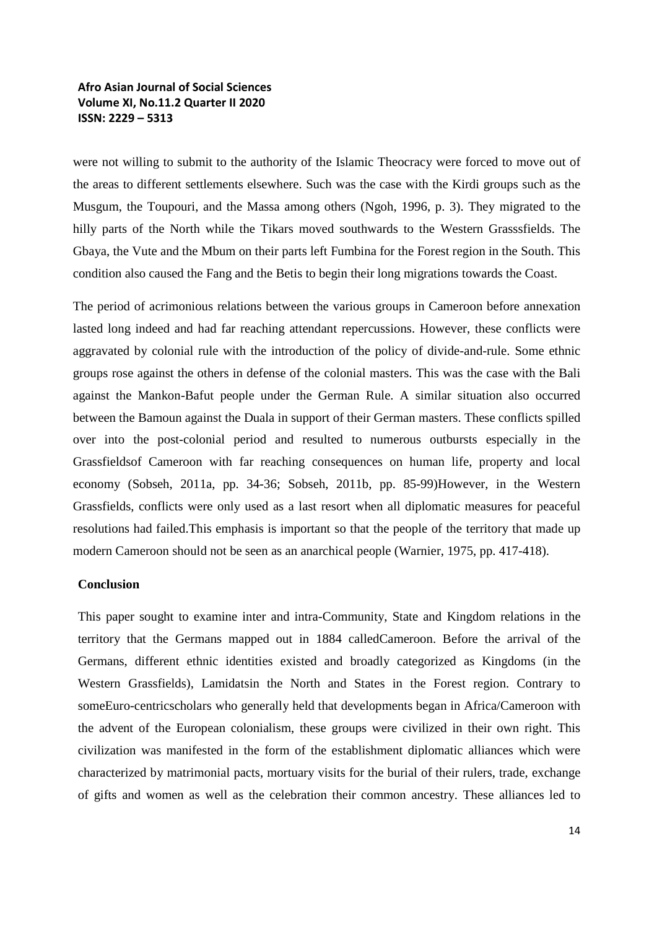were not willing to submit to the authority of the Islamic Theocracy were forced to move out of the areas to different settlements elsewhere. Such was the case with the Kirdi groups such as the Musgum, the Toupouri, and the Massa among others (Ngoh, 1996, p. 3). They migrated to the hilly parts of the North while the Tikars moved southwards to the Western Grasssfields. The Gbaya, the Vute and the Mbum on their parts left Fumbina for the Forest region in the South. This condition also caused the Fang and the Betis to begin their long migrations towards the Coast.

The period of acrimonious relations between the various groups in Cameroon before annexation lasted long indeed and had far reaching attendant repercussions. However, these conflicts were aggravated by colonial rule with the introduction of the policy of divide-and-rule. Some ethnic groups rose against the others in defense of the colonial masters. This was the case with the Bali against the Mankon-Bafut people under the German Rule. A similar situation also occurred between the Bamoun against the Duala in support of their German masters. These conflicts spilled over into the post-colonial period and resulted to numerous outbursts especially in the Grassfieldsof Cameroon with far reaching consequences on human life, property and local economy (Sobseh, 2011a, pp. 34-36; Sobseh, 2011b, pp. 85-99)However, in the Western Grassfields, conflicts were only used as a last resort when all diplomatic measures for peaceful resolutions had failed.This emphasis is important so that the people of the territory that made up modern Cameroon should not be seen as an anarchical people (Warnier, 1975, pp. 417-418).

### **Conclusion**

This paper sought to examine inter and intra-Community, State and Kingdom relations in the territory that the Germans mapped out in 1884 calledCameroon. Before the arrival of the Germans, different ethnic identities existed and broadly categorized as Kingdoms (in the Western Grassfields), Lamidatsin the North and States in the Forest region. Contrary to someEuro-centricscholars who generally held that developments began in Africa/Cameroon with the advent of the European colonialism, these groups were civilized in their own right. This civilization was manifested in the form of the establishment diplomatic alliances which were characterized by matrimonial pacts, mortuary visits for the burial of their rulers, trade, exchange of gifts and women as well as the celebration their common ancestry. These alliances led to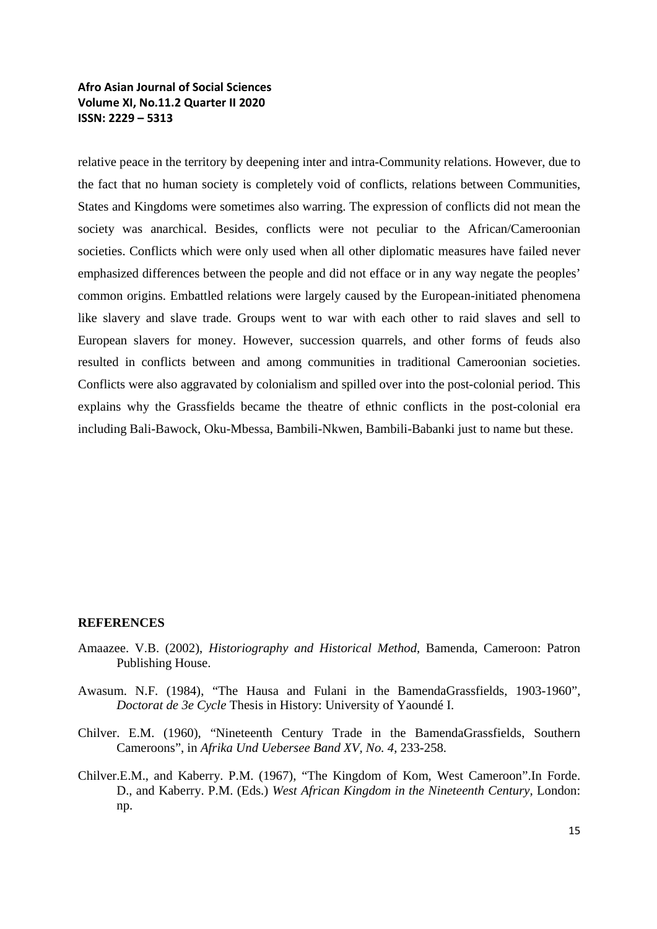relative peace in the territory by deepening inter and intra-Community relations. However, due to the fact that no human society is completely void of conflicts, relations between Communities, States and Kingdoms were sometimes also warring. The expression of conflicts did not mean the society was anarchical. Besides, conflicts were not peculiar to the African/Cameroonian societies. Conflicts which were only used when all other diplomatic measures have failed never emphasized differences between the people and did not efface or in any way negate the peoples' common origins. Embattled relations were largely caused by the European-initiated phenomena like slavery and slave trade. Groups went to war with each other to raid slaves and sell to European slavers for money. However, succession quarrels, and other forms of feuds also resulted in conflicts between and among communities in traditional Cameroonian societies. Conflicts were also aggravated by colonialism and spilled over into the post-colonial period. This explains why the Grassfields became the theatre of ethnic conflicts in the post-colonial era including Bali-Bawock, Oku-Mbessa, Bambili-Nkwen, Bambili-Babanki just to name but these.

### **REFERENCES**

- Amaazee. V.B. (2002), *Historiography and Historical Method,* Bamenda, Cameroon: Patron Publishing House.
- Awasum. N.F. (1984), "The Hausa and Fulani in the BamendaGrassfields, 1903-1960", *Doctorat de 3e Cycle* Thesis in History: University of Yaoundé I.
- Chilver. E.M. (1960), "Nineteenth Century Trade in the BamendaGrassfields, Southern Cameroons", in *Afrika Und Uebersee Band XV, No. 4*, 233-258.
- Chilver.E.M., and Kaberry. P.M. (1967), "The Kingdom of Kom, West Cameroon".In Forde. D., and Kaberry. P.M. (Eds.) *West African Kingdom in the Nineteenth Century,* London: np.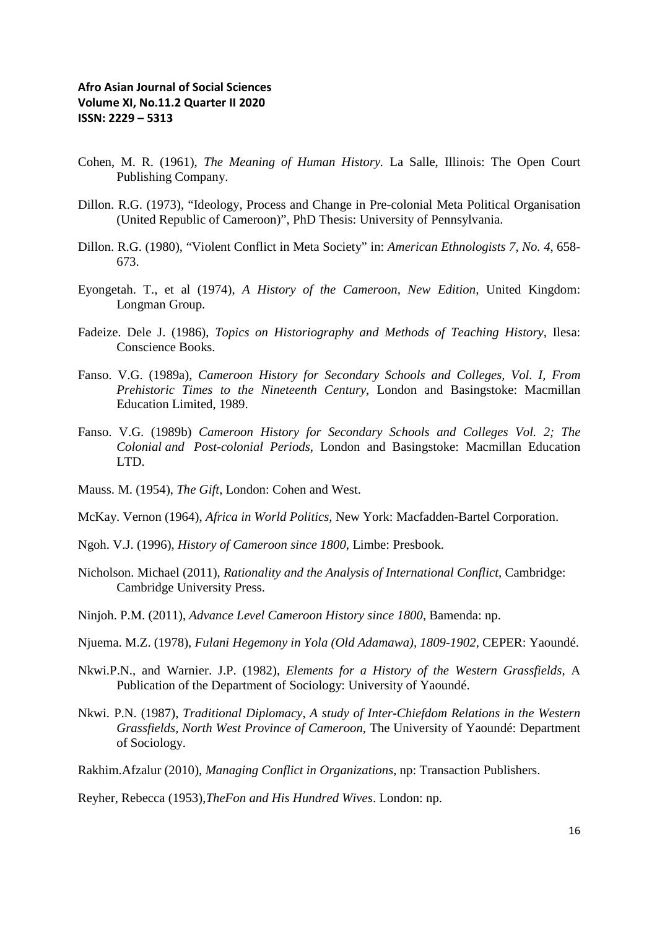- Cohen, M. R. (1961), *The Meaning of Human History.* La Salle, Illinois: The Open Court Publishing Company.
- Dillon. R.G. (1973), "Ideology, Process and Change in Pre-colonial Meta Political Organisation (United Republic of Cameroon)", PhD Thesis: University of Pennsylvania.
- Dillon. R.G. (1980), "Violent Conflict in Meta Society" in: *American Ethnologists 7, No. 4*, 658- 673.
- Eyongetah. T., et al (1974), *A History of the Cameroon, New Edition,* United Kingdom: Longman Group.
- Fadeize. Dele J. (1986), *Topics on Historiography and Methods of Teaching History*, Ilesa: Conscience Books.
- Fanso. V.G. (1989a), *Cameroon History for Secondary Schools and Colleges, Vol. I, From Prehistoric Times to the Nineteenth Century*, London and Basingstoke: Macmillan Education Limited, 1989.
- Fanso. V.G. (1989b) *Cameroon History for Secondary Schools and Colleges Vol. 2; The Colonial and Post-colonial Periods*, London and Basingstoke: Macmillan Education LTD.
- Mauss. M. (1954), *The Gift*, London: Cohen and West.
- McKay. Vernon (1964), *Africa in World Politics*, New York: Macfadden-Bartel Corporation.
- Ngoh. V.J. (1996), *History of Cameroon since 1800*, Limbe: Presbook.
- Nicholson. Michael (2011), *Rationality and the Analysis of International Conflict,* Cambridge: Cambridge University Press.
- Ninjoh. P.M. (2011), *Advance Level Cameroon History since 1800*, Bamenda: np.
- Njuema. M.Z. (1978), *Fulani Hegemony in Yola (Old Adamawa), 1809-1902,* CEPER: Yaoundé.
- Nkwi.P.N., and Warnier. J.P. (1982), *Elements for a History of the Western Grassfields,* A Publication of the Department of Sociology: University of Yaoundé.
- Nkwi. P.N. (1987), *Traditional Diplomacy, A study of Inter-Chiefdom Relations in the Western Grassfields, North West Province of Cameroon,* The University of Yaoundé: Department of Sociology.
- Rakhim.Afzalur (2010), *Managing Conflict in Organizations*, np: Transaction Publishers.

Reyher, Rebecca (1953),*TheFon and His Hundred Wives*. London: np.